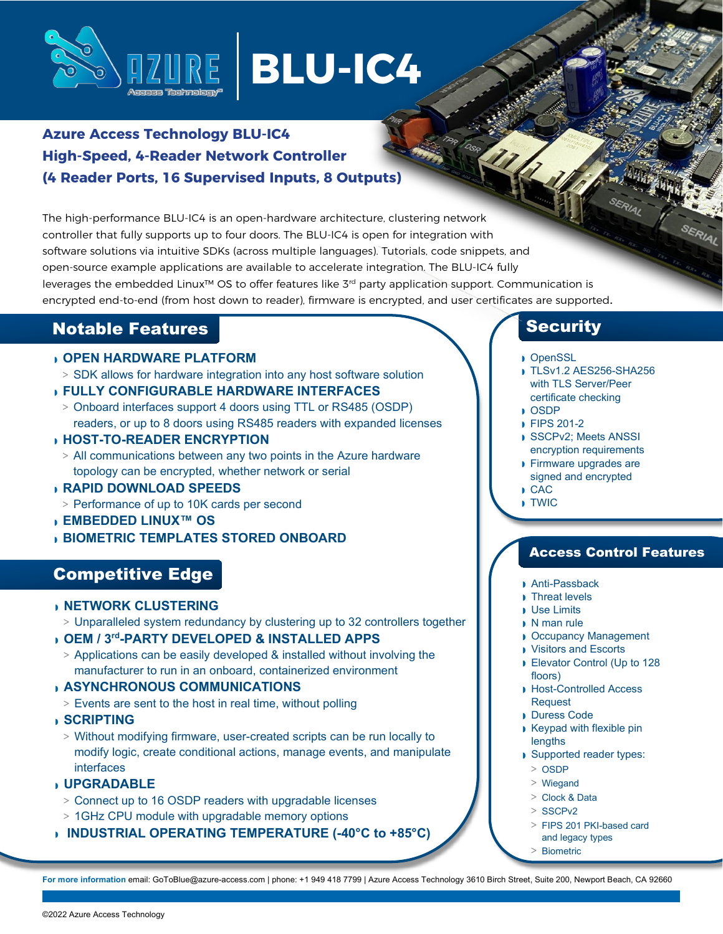

# **BLU-IC4**

## **Azure Access Technology BLU-IC4 High-Speed, 4-Reader Network Controller (4 Reader Ports, 16 Supervised Inputs, 8 Outputs)**

The high-performance BLU-IC4 is an open-hardware architecture, clustering network controller that fully supports up to four doors. The BLU-IC4 is open for integration with software solutions via intuitive SDKs (across multiple languages). Tutorials, code snippets, and open-source example applications are available to accelerate integration. The BLU-IC4 fully leverages the embedded Linux™ OS to offer features like 3rd party application support. Communication is encrypted end-to-end (from host down to reader), firmware is encrypted, and user certificates are supported.

## Notable Features

## ◗ **OPEN HARDWARE PLATFORM**

- **>** SDK allows for hardware integration into any host software solution
- ◗ **FULLY CONFIGURABLE HARDWARE INTERFACES**
	- **>** Onboard interfaces support 4 doors using TTL or RS485 (OSDP) readers, or up to 8 doors using RS485 readers with expanded licenses
- ◗ **HOST-TO-READER ENCRYPTION**
- **>** All communications between any two points in the Azure hardware topology can be encrypted, whether network or serial
- ◗ **RAPID DOWNLOAD SPEEDS**
- **>** Performance of up to 10K cards per second
- ◗ **EMBEDDED LINUX™ OS**
- ◗ **BIOMETRIC TEMPLATES STORED ONBOARD**

## Competitive Edge

#### ◗ **NETWORK CLUSTERING**

**>** Unparalleled system redundancy by clustering up to 32 controllers together

#### ◗ **OEM / 3rd-PARTY DEVELOPED & INSTALLED APPS**

**>** Applications can be easily developed & installed without involving the manufacturer to run in an onboard, containerized environment

#### ◗ **ASYNCHRONOUS COMMUNICATIONS**

- **>** Events are sent to the host in real time, without polling
- ◗ **SCRIPTING**
	- **>** Without modifying firmware, user-created scripts can be run locally to modify logic, create conditional actions, manage events, and manipulate interfaces

## ◗ **UPGRADABLE**

- **>** Connect up to 16 OSDP readers with upgradable licenses
- **>** 1GHz CPU module with upgradable memory options
- ◗ **INDUSTRIAL OPERATING TEMPERATURE (-40°C to +85°C)**

## **Security**

- ◗ OpenSSL
- ◗ TLSv1.2 AES256-SHA256 with TLS Server/Peer certificate checking
- ◗ OSDP
- ◗ FIPS 201-2
- ◗ SSCPv2; Meets ANSSI encryption requirements
- ◗ Firmware upgrades are signed and encrypted
- ◗ CAC
- ◗ TWIC

## Access Control Features

- ◗ Anti-Passback
- ◗ Threat levels
- ◗ Use Limits
- ◗ N man rule
- ◗ Occupancy Management
- ◗ Visitors and Escorts
- ◗ Elevator Control (Up to 128 floors)
- ◗ Host-Controlled Access Request
- ◗ Duress Code
- ◗ Keypad with flexible pin lengths
- ◗ Supported reader types:
	- **>** OSDP
	- **>** Wiegand
	- **>** Clock & Data
	- **>** SSCPv2
	- **>** FIPS 201 PKI-based card and legacy types
	- **>** Biometric

**For more information** email[: GoToBlue@azure-access.com |](mailto:GoToBlue@azure-access.com) phone: +1 949 418 7799 | Azure Access Technology 3610 Birch Street, Suite 200, Newport Beach, CA 92660